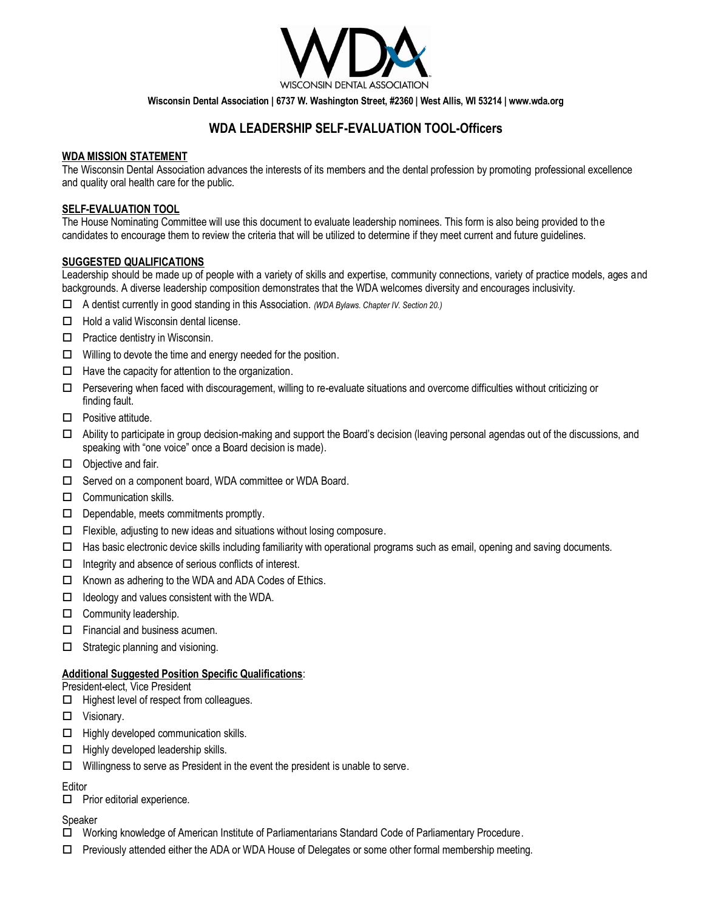

**Wisconsin Dental Association | 6737 W. Washington Street, #2360 | West Allis, WI 53214 | www.wda.org**

# **WDA LEADERSHIP SELF-EVALUATION TOOL-Officers**

## **WDA MISSION STATEMENT**

The Wisconsin Dental Association advances the interests of its members and the dental profession by promoting professional excellence and quality oral health care for the public.

#### **SELF-EVALUATION TOOL**

The House Nominating Committee will use this document to evaluate leadership nominees. This form is also being provided to the candidates to encourage them to review the criteria that will be utilized to determine if they meet current and future guidelines.

#### **SUGGESTED QUALIFICATIONS**

Leadership should be made up of people with a variety of skills and expertise, community connections, variety of practice models, ages and backgrounds. A diverse leadership composition demonstrates that the WDA welcomes diversity and encourages inclusivity.

- A dentist currently in good standing in this Association. *(WDA Bylaws. Chapter IV. Section 20.)*
- $\Box$  Hold a valid Wisconsin dental license.
- $\Box$  Practice dentistry in Wisconsin.
- $\Box$  Willing to devote the time and energy needed for the position.
- $\Box$  Have the capacity for attention to the organization.
- $\Box$  Persevering when faced with discouragement, willing to re-evaluate situations and overcome difficulties without criticizing or finding fault.
- $\Box$  Positive attitude.
- Ability to participate in group decision-making and support the Board's decision (leaving personal agendas out of the discussions, and speaking with "one voice" once a Board decision is made).
- $\Box$  Objective and fair.
- □ Served on a component board, WDA committee or WDA Board.
- $\Box$  Communication skills.
- $\Box$  Dependable, meets commitments promptly.
- $\Box$  Flexible, adjusting to new ideas and situations without losing composure.
- $\Box$  Has basic electronic device skills including familiarity with operational programs such as email, opening and saving documents.
- $\Box$  Integrity and absence of serious conflicts of interest.
- $\Box$  Known as adhering to the WDA and ADA Codes of Ethics.
- $\Box$  Ideology and values consistent with the WDA.
- $\Box$  Community leadership.
- $\Box$  Financial and business acumen.
- $\Box$  Strategic planning and visioning.

#### **Additional Suggested Position Specific Qualifications**:

President-elect, Vice President

- $\Box$  Highest level of respect from colleagues.
- Visionary.
- $\Box$  Highly developed communication skills.
- $\Box$  Highly developed leadership skills.
- $\Box$  Willingness to serve as President in the event the president is unable to serve.

#### Editor

 $\Box$  Prior editorial experience.

#### Speaker

- Working knowledge of American Institute of Parliamentarians Standard Code of Parliamentary Procedure.
- $\Box$  Previously attended either the ADA or WDA House of Delegates or some other formal membership meeting.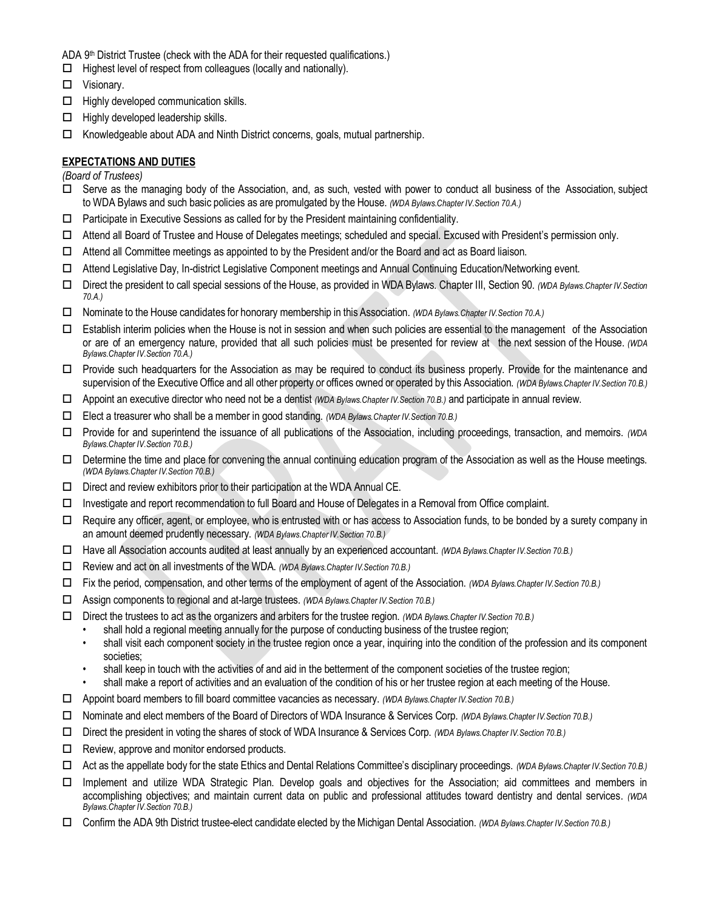- ADA 9th District Trustee (check with the ADA for their requested qualifications.)
- $\Box$  Highest level of respect from colleagues (locally and nationally).
- □ Visionary.
- $\Box$  Highly developed communication skills.
- $\Box$  Highly developed leadership skills.
- $\Box$  Knowledgeable about ADA and Ninth District concerns, goals, mutual partnership.

## **EXPECTATIONS AND DUTIES**

*(Board of Trustees)*

- Serve as the managing body of the Association, and, as such, vested with power to conduct all business of the Association, subject to WDA Bylaws and such basic policies as are promulgated by the House. *(WDA Bylaws.Chapter IV.Section 70.A.)*
- $\Box$  Participate in Executive Sessions as called for by the President maintaining confidentiality.
- Attend all Board of Trustee and House of Delegates meetings; scheduled and special. Excused with President's permission only.
- $\Box$  Attend all Committee meetings as appointed to by the President and/or the Board and act as Board liaison.
- Attend Legislative Day, In-district Legislative Component meetings and Annual Continuing Education/Networking event.
- Direct the president to call special sessions of the House, as provided in WDA Bylaws. Chapter III, Section 90. *(WDA Bylaws.Chapter IV.Section 70.A.)*
- Nominate to the House candidates for honorary membership in this Association. *(WDA Bylaws.Chapter IV.Section 70.A.)*
- $\Box$  Establish interim policies when the House is not in session and when such policies are essential to the management of the Association or are of an emergency nature, provided that all such policies must be presented for review at the next session of the House. *(WDA Bylaws.Chapter IV.Section 70.A.)*
- $\Box$  Provide such headquarters for the Association as may be required to conduct its business properly. Provide for the maintenance and supervision of the Executive Office and all other property or offices owned or operated by this Association. *(WDA Bylaws.Chapter IV.Section 70.B.)*
- Appoint an executive director who need not be a dentist *(WDA Bylaws.Chapter IV.Section 70.B.)* and participate in annual review.
- Elect a treasurer who shall be a member in good standing. *(WDA Bylaws.Chapter IV.Section 70.B.)*
- Provide for and superintend the issuance of all publications of the Association, including proceedings, transaction, and memoirs. *(WDA Bylaws.Chapter IV.Section 70.B.)*
- $\Box$  Determine the time and place for convening the annual continuing education program of the Association as well as the House meetings. *(WDA Bylaws.Chapter IV.Section 70.B.)*
- $\square$  Direct and review exhibitors prior to their participation at the WDA Annual CE.
- Investigate and report recommendation to full Board and House of Delegates in a Removal from Office complaint.
- $\Box$  Require any officer, agent, or employee, who is entrusted with or has access to Association funds, to be bonded by a surety company in an amount deemed prudently necessary. *(WDA Bylaws.Chapter IV.Section 70.B.)*
- Have all Association accounts audited at least annually by an experienced accountant. *(WDA Bylaws.Chapter IV.Section 70.B.)*
- Review and act on all investments of the WDA. *(WDA Bylaws.Chapter IV.Section 70.B.)*
- Fix the period, compensation, and other terms of the employment of agent of the Association. *(WDA Bylaws.Chapter IV.Section 70.B.)*
- Assign components to regional and at-large trustees. *(WDA Bylaws.Chapter IV.Section 70.B.)*
- Direct the trustees to act as the organizers and arbiters for the trustee region. *(WDA Bylaws.Chapter IV.Section 70.B.)* 
	- shall hold a regional meeting annually for the purpose of conducting business of the trustee region;
	- shall visit each component society in the trustee region once a year, inquiring into the condition of the profession and its component societies;
	- shall keep in touch with the activities of and aid in the betterment of the component societies of the trustee region;
	- shall make a report of activities and an evaluation of the condition of his or her trustee region at each meeting of the House.
- Appoint board members to fill board committee vacancies as necessary. *(WDA Bylaws.Chapter IV.Section 70.B.)*
- Nominate and elect members of the Board of Directors of WDA Insurance & Services Corp. *(WDA Bylaws.Chapter IV.Section 70.B.)*
- Direct the president in voting the shares of stock of WDA Insurance & Services Corp. *(WDA Bylaws.Chapter IV.Section 70.B.)*
- $\Box$  Review, approve and monitor endorsed products.
- Act as the appellate body for the state Ethics and Dental Relations Committee's disciplinary proceedings. *(WDA Bylaws.Chapter IV.Section 70.B.)*
- Implement and utilize WDA Strategic Plan. Develop goals and objectives for the Association; aid committees and members in accomplishing objectives; and maintain current data on public and professional attitudes toward dentistry and dental services. *(WDA Bylaws.Chapter IV.Section 70.B.)*
- Confirm the ADA 9th District trustee-elect candidate elected by theMichigan Dental Association. *(WDA Bylaws.Chapter IV.Section 70.B.)*